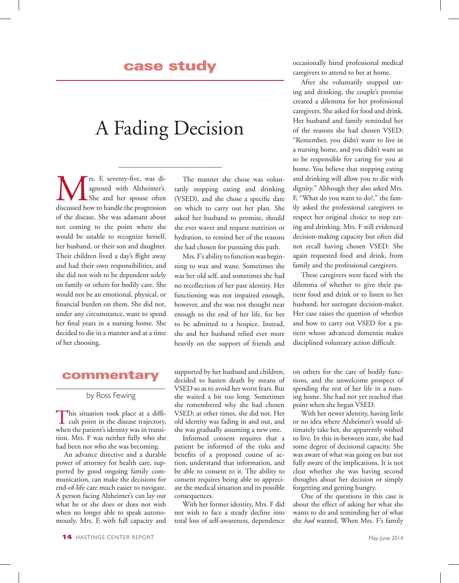# A Fading Decision

**M** rs. F, seventy-five, was di-<br>agnosed with Alzheimer's.<br>discussed how to handle the progression agnosed with Alzheimer's. She and her spouse often discussed how to handle the progression of the disease. She was adamant about not coming to the point where she would be unable to recognize herself, her husband, or their son and daughter. Their children lived a day's flight away and had their own responsibilities, and she did not wish to be dependent solely on family or others for bodily care. She would not be an emotional, physical, or financial burden on them. She did not, under any circumstance, want to spend her final years in a nursing home. She decided to die in a manner and at a time of her choosing.

#### commentary

by Ross Fewing

This situation took place at a diffi-cult point in the disease trajectory, when the patient's identity was in transition. Mrs. F was neither fully who she had been nor who she was becoming.

An advance directive and a durable power of attorney for health care, supported by good ongoing family communication, can make the decisions for end-of-life care much easier to navigate. A person facing Alzheimer's can lay out what he or she does or does not wish when no longer able to speak autonomously. Mrs. F, with full capacity and

The manner she chose was voluntarily stopping eating and drinking (VSED), and she chose a specific date on which to carry out her plan. She asked her husband to promise, should she ever waver and request nutrition or hydration, to remind her of the reasons she had chosen for pursuing this path.

Mrs. F's ability to function was beginning to wax and wane. Sometimes she was her old self, and sometimes she had no recollection of her past identity. Her functioning was not impaired enough, however, and she was not thought near enough to the end of her life, for her to be admitted to a hospice. Instead, she and her husband relied ever more heavily on the support of friends and

supported by her husband and children, decided to hasten death by means of VSED so as to avoid her worst fears. But she waited a bit too long. Sometimes she remembered why she had chosen VSED; at other times, she did not. Her old identity was fading in and out, and she was gradually assuming a new one.

Informed consent requires that a patient be informed of the risks and benefits of a proposed course of action, understand that information, and be able to consent to it. The ability to consent requires being able to appreciate the medical situation and its possible consequences.

With her former identity, Mrs. F did not wish to face a steady decline into total loss of self-awareness, dependence occasionally hired professional medical caregivers to attend to her at home.

After she voluntarily stopped eating and drinking, the couple's promise created a dilemma for her professional caregivers. She asked for food and drink. Her husband and family reminded her of the reasons she had chosen VSED: "Remember, you didn't want to live in a nursing home, and you didn't want us to be responsible for caring for you at home. You believe that stopping eating and drinking will allow you to die with dignity." Although they also asked Mrs. F, "What do you want to do?," the family asked the professional caregivers to respect her original choice to stop eating and drinking. Mrs. F still evidenced decision-making capacity but often did not recall having chosen VSED. She again requested food and drink, from family and the professional caregivers.

These caregivers were faced with the dilemma of whether to give their patient food and drink or to listen to her husband, her surrogate decision-maker. Her case raises the question of whether and how to carry out VSED for a patient whose advanced dementia makes disciplined voluntary action difficult.

on others for the care of bodily functions, and the unwelcome prospect of spending the rest of her life in a nursing home. She had not yet reached that point when she began VSED.

With her newer identity, having little or no idea where Alzheimer's would ultimately take her, she apparently wished to live. In this in-between state, she had some degree of decisional capacity. She was aware of what was going on but not fully aware of the implications. It is not clear whether she was having second thoughts about her decision or simply forgetting and getting hungry.

One of the questions in this case is about the effect of asking her what she wants to do and reminding her of what she *had* wanted. When Mrs. F's family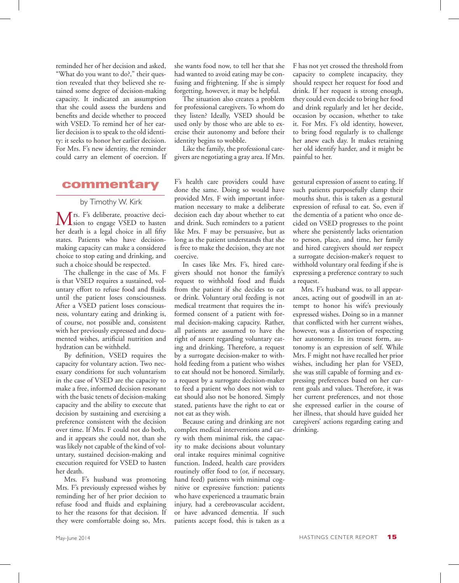reminded her of her decision and asked, "What do you want to do?," their question revealed that they believed she retained some degree of decision-making capacity. It indicated an assumption that she could assess the burdens and benefits and decide whether to proceed with VSED. To remind her of her earlier decision is to speak to the old identity: it seeks to honor her earlier decision. For Mrs. F's new identity, the reminder could carry an element of coercion. If

## commentary

#### by Timothy W. Kirk

Mrs. F's deliberate, proactive deci-<br>
sion to engage VSED to hasten her death is a legal choice in all fifty states. Patients who have decisionmaking capacity can make a considered choice to stop eating and drinking, and such a choice should be respected.

The challenge in the case of Ms. F is that VSED requires a sustained, voluntary effort to refuse food and fluids until the patient loses consciousness. After a VSED patient loses consciousness, voluntary eating and drinking is, of course, not possible and, consistent with her previously expressed and documented wishes, artificial nutrition and hydration can be withheld.

By definition, VSED requires the capacity for voluntary action. Two necessary conditions for such voluntarism in the case of VSED are the capacity to make a free, informed decision resonant with the basic tenets of decision-making capacity and the ability to execute that decision by sustaining and exercising a preference consistent with the decision over time. If Mrs. F could not do both, and it appears she could not, than she was likely not capable of the kind of voluntary, sustained decision-making and execution required for VSED to hasten her death.

Mrs. F's husband was promoting Mrs. F's previously expressed wishes by reminding her of her prior decision to refuse food and fluids and explaining to her the reasons for that decision. If they were comfortable doing so, Mrs.

she wants food now, to tell her that she had wanted to avoid eating may be confusing and frightening. If she is simply forgetting, however, it may be helpful.

The situation also creates a problem for professional caregivers. To whom do they listen? Ideally, VSED should be used only by those who are able to exercise their autonomy and before their identity begins to wobble.

Like the family, the professional caregivers are negotiating a gray area. If Mrs.

F's health care providers could have done the same. Doing so would have provided Mrs. F with important information necessary to make a deliberate decision each day about whether to eat and drink. Such reminders to a patient like Mrs. F may be persuasive, but as long as the patient understands that she is free to make the decision, they are not coercive.

In cases like Mrs. F's, hired caregivers should not honor the family's request to withhold food and fluids from the patient if she decides to eat or drink. Voluntary oral feeding is not medical treatment that requires the informed consent of a patient with formal decision-making capacity. Rather, all patients are assumed to have the right of assent regarding voluntary eating and drinking. Therefore, a request by a surrogate decision-maker to withhold feeding from a patient who wishes to eat should not be honored. Similarly, a request by a surrogate decision-maker to feed a patient who does not wish to eat should also not be honored. Simply stated, patients have the right to eat or not eat as they wish.

Because eating and drinking are not complex medical interventions and carry with them minimal risk, the capacity to make decisions about voluntary oral intake requires minimal cognitive function. Indeed, health care providers routinely offer food to (or, if necessary, hand feed) patients with minimal cognitive or expressive function: patients who have experienced a traumatic brain injury, had a cerebrovascular accident, or have advanced dementia. If such patients accept food, this is taken as a

F has not yet crossed the threshold from capacity to complete incapacity, they should respect her request for food and drink. If her request is strong enough, they could even decide to bring her food and drink regularly and let her decide, occasion by occasion, whether to take it. For Mrs. F's old identity, however, to bring food regularly is to challenge her anew each day. It makes retaining her old identify harder, and it might be painful to her.

gestural expression of assent to eating. If such patients purposefully clamp their mouths shut, this is taken as a gestural expression of refusal to eat. So, even if the dementia of a patient who once decided on VSED progresses to the point where she persistently lacks orientation to person, place, and time, her family and hired caregivers should *not* respect a surrogate decision-maker's request to withhold voluntary oral feeding if she is expressing a preference contrary to such a request.

Mrs. F's husband was, to all appearances, acting out of goodwill in an attempt to honor his wife's previously expressed wishes. Doing so in a manner that conflicted with her current wishes, however, was a distortion of respecting her autonomy. In its truest form, autonomy is an expression of self. While Mrs. F might not have recalled her prior wishes, including her plan for VSED, she was still capable of forming and expressing preferences based on her current goals and values. Therefore, it was her current preferences, and not those she expressed earlier in the course of her illness, that should have guided her caregivers' actions regarding eating and drinking.